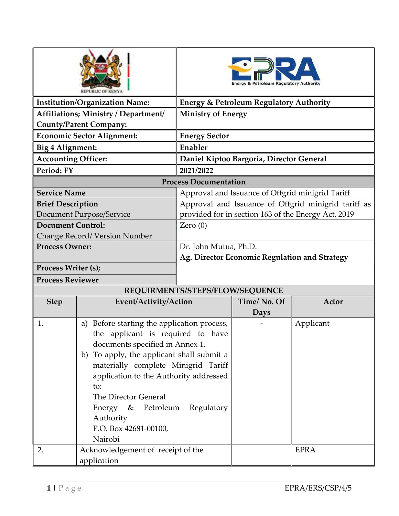|                            |                                                |                                 | & Petroleum Regulatory Authority                   |                                                     |  |
|----------------------------|------------------------------------------------|---------------------------------|----------------------------------------------------|-----------------------------------------------------|--|
|                            | <b>Institution/Organization Name:</b>          |                                 | <b>Energy &amp; Petroleum Regulatory Authority</b> |                                                     |  |
|                            | Affiliations; Ministry / Department/           | <b>Ministry of Energy</b>       |                                                    |                                                     |  |
|                            | <b>County/Parent Company:</b>                  |                                 |                                                    |                                                     |  |
|                            | <b>Economic Sector Alignment:</b>              | <b>Energy Sector</b>            |                                                    |                                                     |  |
| Big 4 Alignment:           |                                                | Enabler                         |                                                    |                                                     |  |
| <b>Accounting Officer:</b> |                                                |                                 | Daniel Kiptoo Bargoria, Director General           |                                                     |  |
| Period: FY                 |                                                | 2021/2022                       |                                                    |                                                     |  |
|                            |                                                | <b>Process Documentation</b>    |                                                    |                                                     |  |
| <b>Service Name</b>        |                                                |                                 | Approval and Issuance of Offgrid minigrid Tariff   |                                                     |  |
| <b>Brief Description</b>   |                                                |                                 |                                                    | Approval and Issuance of Offgrid minigrid tariff as |  |
|                            | Document Purpose/Service                       |                                 |                                                    | provided for in section 163 of the Energy Act, 2019 |  |
| <b>Document Control:</b>   |                                                | Zero $(0)$                      |                                                    |                                                     |  |
|                            | Change Record/ Version Number                  |                                 |                                                    |                                                     |  |
| <b>Process Owner:</b>      |                                                | Dr. John Mutua, Ph.D.           |                                                    |                                                     |  |
|                            |                                                |                                 | Ag. Director Economic Regulation and Strategy      |                                                     |  |
| Process Writer (s);        |                                                |                                 |                                                    |                                                     |  |
| <b>Process Reviewer</b>    |                                                |                                 |                                                    |                                                     |  |
|                            |                                                | REQUIRMENTS/STEPS/FLOW/SEQUENCE |                                                    |                                                     |  |
| <b>Step</b>                | Event/Activity/Action                          |                                 | Time/No. Of                                        | Actor                                               |  |
|                            |                                                |                                 | Days                                               |                                                     |  |
| 1.                         | Before starting the application process,<br>a) |                                 |                                                    | Applicant                                           |  |
|                            | the applicant is required to have              |                                 |                                                    |                                                     |  |
|                            | documents specified in Annex 1.                |                                 |                                                    |                                                     |  |
|                            | b) To apply, the applicant shall submit a      |                                 |                                                    |                                                     |  |
|                            | materially complete Minigrid Tariff            |                                 |                                                    |                                                     |  |
|                            | application to the Authority addressed<br>to:  |                                 |                                                    |                                                     |  |
|                            | The Director General                           |                                 |                                                    |                                                     |  |
|                            | Energy & Petroleum                             | Regulatory                      |                                                    |                                                     |  |
|                            | Authority                                      |                                 |                                                    |                                                     |  |
|                            | P.O. Box 42681-00100,                          |                                 |                                                    |                                                     |  |
|                            | Nairobi                                        |                                 |                                                    |                                                     |  |
| 2.                         | Acknowledgement of receipt of the              |                                 |                                                    | <b>EPRA</b>                                         |  |
|                            | application                                    |                                 |                                                    |                                                     |  |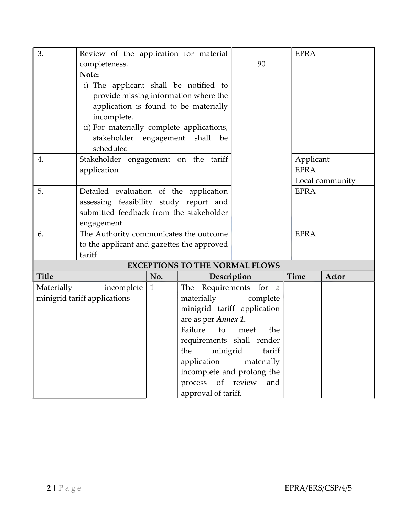| 3.           | Review of the application for material     |              |                                       |             | <b>EPRA</b> |                 |
|--------------|--------------------------------------------|--------------|---------------------------------------|-------------|-------------|-----------------|
|              | completeness.                              |              |                                       | 90          |             |                 |
|              | Note:                                      |              |                                       |             |             |                 |
|              | i) The applicant shall be notified to      |              |                                       |             |             |                 |
|              | provide missing information where the      |              |                                       |             |             |                 |
|              | application is found to be materially      |              |                                       |             |             |                 |
|              | incomplete.                                |              |                                       |             |             |                 |
|              | ii) For materially complete applications,  |              |                                       |             |             |                 |
|              | stakeholder engagement shall               |              | be                                    |             |             |                 |
|              | scheduled                                  |              |                                       |             |             |                 |
| 4.           | Stakeholder engagement on the tariff       |              |                                       |             | Applicant   |                 |
|              | application                                |              |                                       |             | <b>EPRA</b> |                 |
|              |                                            |              |                                       |             |             | Local community |
| 5.           | Detailed evaluation of the application     |              |                                       |             | <b>EPRA</b> |                 |
|              | assessing feasibility study report and     |              |                                       |             |             |                 |
|              | submitted feedback from the stakeholder    |              |                                       |             |             |                 |
|              | engagement                                 |              |                                       |             |             |                 |
| 6.           | The Authority communicates the outcome     |              |                                       |             | <b>EPRA</b> |                 |
|              | to the applicant and gazettes the approved |              |                                       |             |             |                 |
|              | tariff                                     |              |                                       |             |             |                 |
|              |                                            |              | <b>EXCEPTIONS TO THE NORMAL FLOWS</b> |             |             |                 |
| <b>Title</b> |                                            | No.          | Description                           |             | <b>Time</b> | Actor           |
| Materially   | incomplete                                 | $\mathbf{1}$ | The Requirements for a                |             |             |                 |
|              | minigrid tariff applications               |              | materially                            | complete    |             |                 |
|              |                                            |              | minigrid tariff application           |             |             |                 |
|              |                                            |              | are as per Annex 1.                   |             |             |                 |
|              |                                            |              | Failure<br>to                         | the<br>meet |             |                 |
|              |                                            |              | requirements shall render             |             |             |                 |
|              |                                            |              | minigrid<br>the                       | tariff      |             |                 |
|              |                                            |              | application                           | materially  |             |                 |
|              |                                            |              | incomplete and prolong the            |             |             |                 |
|              |                                            |              | process of review                     | and         |             |                 |
|              |                                            |              | approval of tariff.                   |             |             |                 |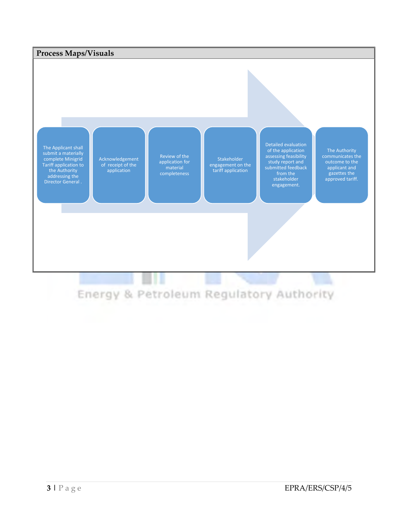

# Energy & Petroleum Regulatory Authority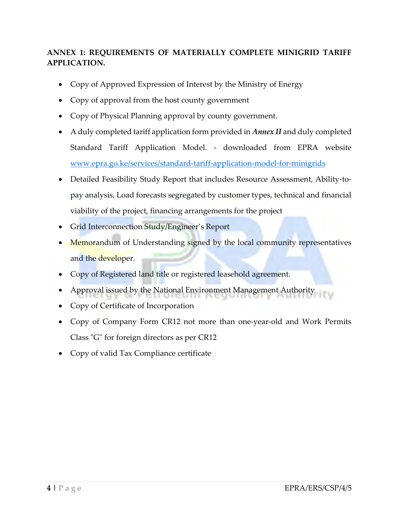## ANNEX 1: REQUIREMENTS OF MATERIALLY COMPLETE MINIGRID TARIFF APPLICATION.

- Copy of Approved Expression of Interest by the Ministry of Energy
- Copy of approval from the host county government
- Copy of Physical Planning approval by county government.
- A duly completed tariff application form provided in Annex II and duly completed Standard Tariff Application Model. - downloaded from EPRA website www.epra.go.ke/services/standard-tariff-application-model-for-minigrids
- Detailed Feasibility Study Report that includes Resource Assessment, Ability-topay analysis, Load forecasts segregated by customer types, technical and financial viability of the project, financing arrangements for the project
- Grid Interconnection Study/Engineer's Report
- Memorandum of Understanding signed by the local community representatives and the developer.
- Copy of Registered land title or registered leasehold agreement.
- Approval issued by the National Environment Management Authority
- Copy of Certificate of Incorporation
- Copy of Company Form CR12 not more than one-year-old and Work Permits Class "G" for foreign directors as per CR12
- Copy of valid Tax Compliance certificate